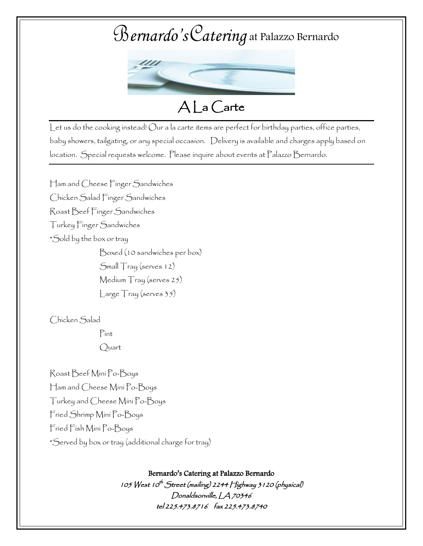# B*ernardo's*C*atering* at Palazzo Bernardo



 $A|$  a Carte

Let us do the cooking instead! Our a la carte items are perfect for birthday parties, office parties, baby showers, tailgating, or any special occasion. Delivery is available and charges apply based on location. Special requests welcome. Please inquire about events at Palazzo Bernardo.

Ham and Cheese Finger Sandwiches Chicken Salad Finger Sandwiches Roast Beef Finger Sandwiches Turkey Finger Sandwiches \*Sold by the box or tray Boxed (10 sandwiches per box) Small Tray (serves 12) Medium Tray (serves 25) Large Tray (serves 35)

Chicken Salad

Pint Quart

Roast Beef Mini Po-Boys Ham and Cheese Mini Po-Boys Turkey and Cheese Mini Po-Boys Fried Shrimp Mini Po-Boys Fried Fish Mini Po-Boys \*Served by box or tray (additional charge for tray)

Bernardo's Catering at Palazzo Bernardo

105 West 10<sup>th</sup> Street (mailing) 2244 Highway 3 1 20 (physical) Donaldsonville, LA 70346 tel 225.473.8716 fax 225.473.8740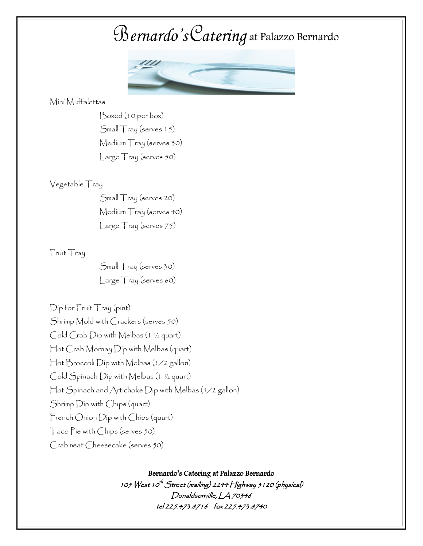### B*ernardo's*C*atering* at Palazzo Bernardo



Mini Muffalettas

Boxed (10 per box) Small Tray (serves 15) Medium Tray (serves 30) Large Tray (serves 50)

#### Vegetable Tray

Small Tray (serves 20) Medium Tray (serves 40) Large Tray (serves 75)

#### Fruit Tray

Small Tray (serves 30) Large Tray (serves 60)

Dip for Fruit Tray (pint) Shrimp Mold with Crackers (serves 50) Cold Crab Dip with Melbas (1 ½ quart) Hot Crab Mornay Dip with Melbas (quart) Hot Broccoli Dip with Melbas (1/2 gallon) Cold Spinach Dip with Melbas (1 ½ quart) Hot Spinach and Artichoke Dip with Melbas (1/2 gallon) Shrimp Dip with Chips (quart) French Onion Dip with Chips (quart) Taco Pie with Chips (serves 50) Crabmeat Cheesecake (serves 50)

Bernardo's Catering at Palazzo Bernardo

105 West 10<sup>th</sup> Street (mailing) 2244 Highway 3 1 20 (physical) Donaldsonville, LA 70346 tel 225.473.8716 fax 225.473.8740